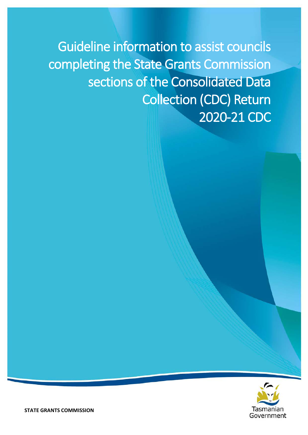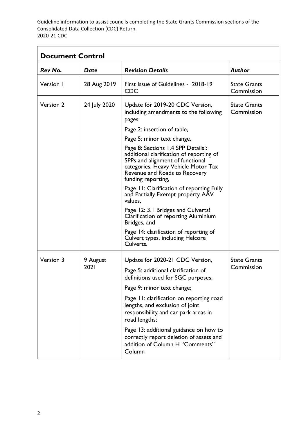| <b>Document Control</b> |              |                                                                                                                                                                                                                  |                                   |  |  |  |
|-------------------------|--------------|------------------------------------------------------------------------------------------------------------------------------------------------------------------------------------------------------------------|-----------------------------------|--|--|--|
| Rev No.                 | Date         | <b>Revision Details</b>                                                                                                                                                                                          | Author                            |  |  |  |
| Version 1               | 28 Aug 2019  | First Issue of Guidelines - 2018-19<br><b>CDC</b>                                                                                                                                                                | <b>State Grants</b><br>Commission |  |  |  |
| Version 2               | 24 July 2020 | Update for 2019-20 CDC Version,<br>including amendments to the following<br>pages:                                                                                                                               | <b>State Grants</b><br>Commission |  |  |  |
|                         |              | Page 2: insertion of table,                                                                                                                                                                                      |                                   |  |  |  |
|                         |              | Page 5: minor text change,                                                                                                                                                                                       |                                   |  |  |  |
|                         |              | Page 8: Sections 1.4 SPP Details!:<br>additional clarification of reporting of<br>SPPs and alignment of functional<br>categories, Heavy Vehicle Motor Tax<br>Revenue and Roads to Recovery<br>funding reporting, |                                   |  |  |  |
|                         |              | Page 11: Clarification of reporting Fully<br>and Partially Exempt property AAV<br>values,                                                                                                                        |                                   |  |  |  |
|                         |              | Page 12: 3.1 Bridges and Culverts!<br>Clarification of reporting Aluminium<br>Bridges, and                                                                                                                       |                                   |  |  |  |
|                         |              | Page 14: clarification of reporting of<br><b>Culvert types, including Helcore</b><br>Culverts.                                                                                                                   |                                   |  |  |  |
| Version 3               | 9 August     | Update for 2020-21 CDC Version,                                                                                                                                                                                  | <b>State Grants</b>               |  |  |  |
|                         | 2021         | Page 5: additional clarification of<br>definitions used for SGC purposes;                                                                                                                                        | Commission                        |  |  |  |
|                         |              | Page 9: minor text change;                                                                                                                                                                                       |                                   |  |  |  |
|                         |              | Page 11: clarification on reporting road<br>lengths, and exclusion of joint<br>responsibility and car park areas in<br>road lengths;                                                                             |                                   |  |  |  |
|                         |              | Page 13: additional guidance on how to<br>correctly report deletion of assets and<br>addition of Column H "Comments"<br>Column                                                                                   |                                   |  |  |  |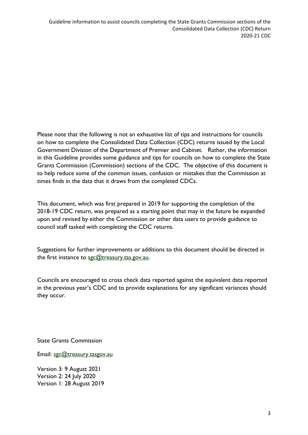Please note that the following is not an exhaustive list of tips and instructions for councils on how to complete the Consolidated Data Collection (CDC) returns issued by the Local Government Division of the Department of Premier and Cabinet. Rather, the information in this Guideline provides some guidance and tips for councils on how to complete the State Grants Commission (Commission) sections of the CDC. The objective of this document is to help reduce some of the common issues, confusion or mistakes that the Commission at times finds in the data that it draws from the completed CDCs.

This document, which was first prepared in 2019 for supporting the completion of the 2018-19 CDC return, was prepared as a starting point that may in the future be expanded upon and revised by either the Commission or other data users to provide guidance to council staff tasked with completing the CDC returns.

Suggestions for further improvements or additions to this document should be directed in the first instance to [sgc@treasury.tas.gov.au.](mailto:sgc@treasury.tas.gov.au)

Councils are encouraged to cross check data reported against the equivalent data reported in the previous year's CDC and to provide explanations for any significant variances should they occur.

State Grants Commission

Email: [sgc@treasury.tasgov.au](mailto:sgc@treasury.tasgov.au)

Version 3: 9 August 2021 Version 2: 24 July 2020 Version 1: 28 August 2019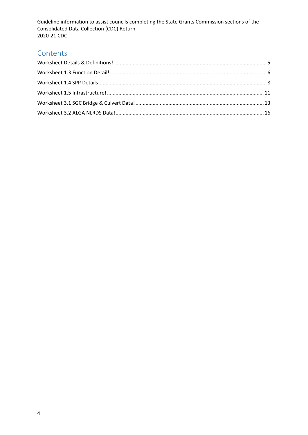# **Contents**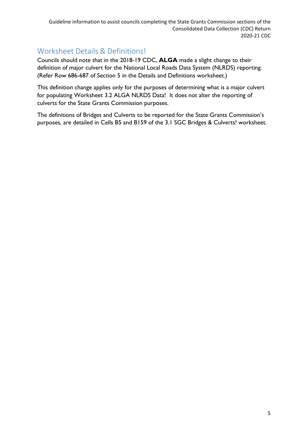# <span id="page-4-0"></span>Worksheet Details & Definitions!

Councils should note that in the 2018-19 CDC, **ALGA** made a slight change to their definition of major culvert for the National Local Roads Data System (NLRDS) reporting. (Refer Row 686-687 of Section 5 in the Details and Definitions worksheet.)

This definition change applies only for the purposes of determining what is a major culvert for populating Worksheet 3.2 ALGA NLRDS Data! It does not alter the reporting of culverts for the State Grants Commission purposes.

The definitions of Bridges and Culverts to be reported for the State Grants Commission's purposes, are detailed in Cells B5 and B159 of the 3.1 SGC Bridges & Culverts! worksheet.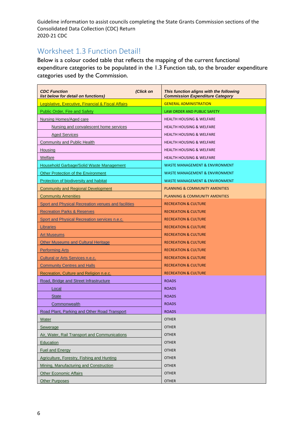# <span id="page-5-0"></span>Worksheet 1.3 Function Detail!

Below is a colour coded table that reflects the mapping of the current functional expenditure categories to be populated in the 1.3 Function tab, to the broader expenditure categories used by the Commission.

| <b>CDC Function</b><br>(Click on<br>list below for detail on functions) | This function aligns with the following<br><b>Commission Expenditure Category</b> |  |  |
|-------------------------------------------------------------------------|-----------------------------------------------------------------------------------|--|--|
| Legislative, Executive, Financial & Fiscal Affairs                      | <b>GENERAL ADMINISTRATION</b>                                                     |  |  |
| <b>Public Order, Fire and Safety</b>                                    | LAW ORDER AND PUBLIC SAFETY                                                       |  |  |
| Nursing Homes/Aged care                                                 | <b>HEALTH HOUSING &amp; WELFARE</b>                                               |  |  |
| Nursing and convalescent home services                                  | <b>HEALTH HOUSING &amp; WELFARE</b>                                               |  |  |
| <b>Aged Services</b>                                                    | <b>HEALTH HOUSING &amp; WELFARE</b>                                               |  |  |
| <b>Community and Public Health</b>                                      | <b>HEALTH HOUSING &amp; WELFARE</b>                                               |  |  |
| Housing                                                                 | <b>HEALTH HOUSING &amp; WELFARE</b>                                               |  |  |
| Welfare                                                                 | <b>HEALTH HOUSING &amp; WELFARE</b>                                               |  |  |
| Household Garbage/Solid Waste Management                                | <b>WASTE MANAGEMENT &amp; ENVIRONMENT</b>                                         |  |  |
| Other Protection of the Environment                                     | <b>WASTE MANAGEMENT &amp; ENVIRONMENT</b>                                         |  |  |
| Protection of biodiversity and habitat                                  | <b>WASTE MANAGEMENT &amp; ENVIRONMENT</b>                                         |  |  |
| <b>Community and Regional Development</b>                               | <b>PLANNING &amp; COMMUNITY AMENITIES</b>                                         |  |  |
| <b>Community Amenities</b>                                              | <b>PLANNING &amp; COMMUNITY AMENITIES</b>                                         |  |  |
| Sport and Physical Recreation venues and facilities                     | <b>RECREATION &amp; CULTURE</b>                                                   |  |  |
| <b>Recreation Parks &amp; Reserves</b>                                  | <b>RECREATION &amp; CULTURE</b>                                                   |  |  |
| Sport and Physical Recreation services n.e.c.                           | <b>RECREATION &amp; CULTURE</b>                                                   |  |  |
| <b>Libraries</b>                                                        | <b>RECREATION &amp; CULTURE</b>                                                   |  |  |
| Art Museums                                                             | <b>RECREATION &amp; CULTURE</b>                                                   |  |  |
| <b>Other Museums and Cultural Heritage</b>                              | <b>RECREATION &amp; CULTURE</b>                                                   |  |  |
| <u>Performing Arts</u>                                                  | <b>RECREATION &amp; CULTURE</b>                                                   |  |  |
| <b>Cultural or Arts Services n.e.c.</b>                                 | <b>RECREATION &amp; CULTURE</b>                                                   |  |  |
| <b>Community Centres and Halls</b>                                      | <b>RECREATION &amp; CULTURE</b>                                                   |  |  |
| Recreation, Culture and Religion n.e.c.                                 | <b>RECREATION &amp; CULTURE</b>                                                   |  |  |
| Road, Bridge and Street Infrastructure                                  | <b>ROADS</b>                                                                      |  |  |
| Local                                                                   | <b>ROADS</b>                                                                      |  |  |
| <b>State</b>                                                            | <b>ROADS</b>                                                                      |  |  |
| Commonwealth                                                            | <b>ROADS</b>                                                                      |  |  |
| Road Plant, Parking and Other Road Transport                            | <b>ROADS</b>                                                                      |  |  |
| Water                                                                   | <b>OTHER</b>                                                                      |  |  |
| Sewerage                                                                | <b>OTHER</b>                                                                      |  |  |
| Air, Water, Rail Transport and Communications                           | <b>OTHER</b>                                                                      |  |  |
| Education                                                               | <b>OTHER</b>                                                                      |  |  |
| <b>Fuel and Energy</b>                                                  | <b>OTHER</b>                                                                      |  |  |
| Agriculture, Forestry, Fishing and Hunting                              | <b>OTHER</b>                                                                      |  |  |
| Mining, Manufacturing and Construction                                  | <b>OTHER</b>                                                                      |  |  |
| <b>Other Economic Affairs</b>                                           | <b>OTHER</b>                                                                      |  |  |
| <b>Other Purposes</b>                                                   | <b>OTHER</b>                                                                      |  |  |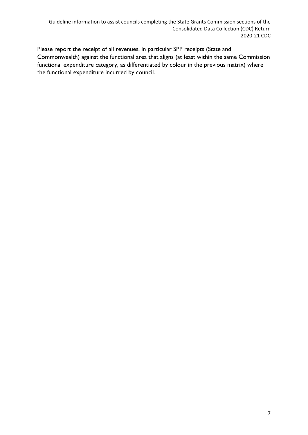Please report the receipt of all revenues, in particular SPP receipts (State and Commonwealth) against the functional area that aligns (at least within the same Commission functional expenditure category, as differentiated by colour in the previous matrix) where the functional expenditure incurred by council.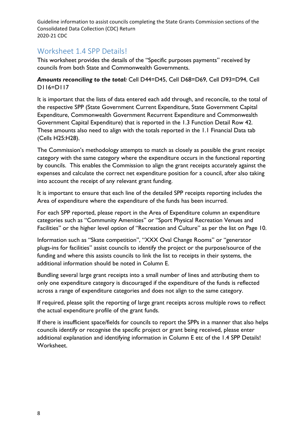# <span id="page-7-0"></span>Worksheet 1.4 SPP Details!

This worksheet provides the details of the "Specific purposes payments" received by councils from both State and Commonwealth Governments.

*Amounts reconciling to the total:* Cell D44=D45, Cell D68=D69, Cell D93=D94, Cell D116=D117

It is important that the lists of data entered each add through, and reconcile, to the total of the respective SPP (State Government Current Expenditure, State Government Capital Expenditure, Commonwealth Government Recurrent Expenditure and Commonwealth Government Capital Expenditure) that is reported in the 1.3 Function Detail Row 42. These amounts also need to align with the totals reported in the 1.1 Financial Data tab (Cells H25:H28).

The Commission's methodology attempts to match as closely as possible the grant receipt category with the same category where the expenditure occurs in the functional reporting by councils. This enables the Commission to align the grant receipts accurately against the expenses and calculate the correct net expenditure position for a council, after also taking into account the receipt of any relevant grant funding.

It is important to ensure that each line of the detailed SPP receipts reporting includes the Area of expenditure where the expenditure of the funds has been incurred.

For each SPP reported, please report in the Area of Expenditure column an expenditure categories such as "Community Amenities" or "Sport Physical Recreation Venues and Facilities" or the higher level option of "Recreation and Culture" as per the list on Page 10.

Information such as "Skate competition", "XXX Oval Change Rooms" or "generator plugs-ins for facilities" assist councils to identify the project or the purpose/source of the funding and where this assists councils to link the list to receipts in their systems, the additional information should be noted in Column E.

Bundling several large grant receipts into a small number of lines and attributing them to only one expenditure category is discouraged if the expenditure of the funds is reflected across a range of expenditure categories and does not align to the same category.

If required, please split the reporting of large grant receipts across multiple rows to reflect the actual expenditure profile of the grant funds.

If there is insufficient space/fields for councils to report the SPPs in a manner that also helps councils identify or recognise the specific project or grant being received, please enter additional explanation and identifying information in Column E etc of the 1.4 SPP Details! Worksheet.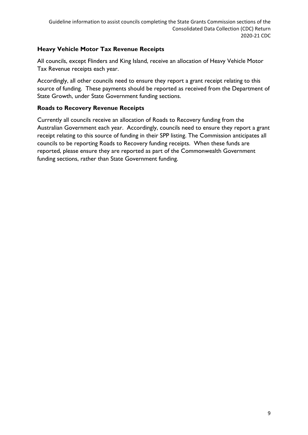## **Heavy Vehicle Motor Tax Revenue Receipts**

All councils, except Flinders and King Island, receive an allocation of Heavy Vehicle Motor Tax Revenue receipts each year.

Accordingly, all other councils need to ensure they report a grant receipt relating to this source of funding. These payments should be reported as received from the Department of State Growth, under State Government funding sections.

### **Roads to Recovery Revenue Receipts**

Currently all councils receive an allocation of Roads to Recovery funding from the Australian Government each year. Accordingly, councils need to ensure they report a grant receipt relating to this source of funding in their SPP listing. The Commission anticipates all councils to be reporting Roads to Recovery funding receipts. When these funds are reported, please ensure they are reported as part of the Commonwealth Government funding sections, rather than State Government funding.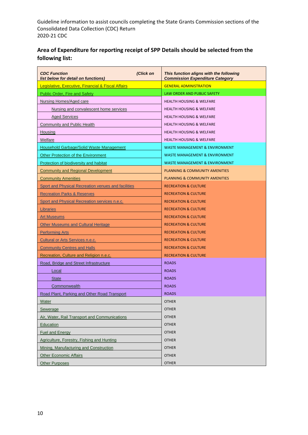## **Area of Expenditure for reporting receipt of SPP Details should be selected from the following list:**

| <b>CDC Function</b><br>(Click on<br>list below for detail on functions) | This function aligns with the following<br><b>Commission Expenditure Category</b> |  |  |
|-------------------------------------------------------------------------|-----------------------------------------------------------------------------------|--|--|
| Legislative, Executive, Financial & Fiscal Affairs                      | <b>GENERAL ADMINISTRATION</b>                                                     |  |  |
| <b>Public Order, Fire and Safety</b>                                    | <b>LAW ORDER AND PUBLIC SAFETY</b>                                                |  |  |
| Nursing Homes/Aged care                                                 | <b>HEALTH HOUSING &amp; WELFARE</b>                                               |  |  |
| Nursing and convalescent home services                                  | <b>HEALTH HOUSING &amp; WELFARE</b>                                               |  |  |
| <b>Aged Services</b>                                                    | <b>HEALTH HOUSING &amp; WELFARE</b>                                               |  |  |
| <b>Community and Public Health</b>                                      | <b>HEALTH HOUSING &amp; WELFARE</b>                                               |  |  |
| Housing                                                                 | <b>HEALTH HOUSING &amp; WELFARE</b>                                               |  |  |
| Welfare                                                                 | <b>HEALTH HOUSING &amp; WELFARE</b>                                               |  |  |
| Household Garbage/Solid Waste Management                                | <b>WASTE MANAGEMENT &amp; ENVIRONMENT</b>                                         |  |  |
| <b>Other Protection of the Environment</b>                              | <b>WASTE MANAGEMENT &amp; ENVIRONMENT</b>                                         |  |  |
| Protection of biodiversity and habitat                                  | <b>WASTE MANAGEMENT &amp; ENVIRONMENT</b>                                         |  |  |
| <b>Community and Regional Development</b>                               | <b>PLANNING &amp; COMMUNITY AMENITIES</b>                                         |  |  |
| <b>Community Amenities</b>                                              | <b>PLANNING &amp; COMMUNITY AMENITIES</b>                                         |  |  |
| Sport and Physical Recreation venues and facilities                     | <b>RECREATION &amp; CULTURE</b>                                                   |  |  |
| <b>Recreation Parks &amp; Reserves</b>                                  | <b>RECREATION &amp; CULTURE</b>                                                   |  |  |
| <b>Sport and Physical Recreation services n.e.c.</b>                    | <b>RECREATION &amp; CULTURE</b>                                                   |  |  |
| Libraries                                                               | <b>RECREATION &amp; CULTURE</b>                                                   |  |  |
| <b>Art Museums</b>                                                      | <b>RECREATION &amp; CULTURE</b>                                                   |  |  |
| <b>Other Museums and Cultural Heritage</b>                              | <b>RECREATION &amp; CULTURE</b>                                                   |  |  |
| <b>Performing Arts</b>                                                  | <b>RECREATION &amp; CULTURE</b>                                                   |  |  |
| <b>Cultural or Arts Services n.e.c.</b>                                 | <b>RECREATION &amp; CULTURE</b>                                                   |  |  |
| <b>Community Centres and Halls</b>                                      | <b>RECREATION &amp; CULTURE</b>                                                   |  |  |
| Recreation, Culture and Religion n.e.c.                                 | <b>RECREATION &amp; CULTURE</b>                                                   |  |  |
| Road, Bridge and Street Infrastructure                                  | <b>ROADS</b>                                                                      |  |  |
| Local                                                                   | <b>ROADS</b>                                                                      |  |  |
| <b>State</b>                                                            | <b>ROADS</b>                                                                      |  |  |
| Commonwealth                                                            | <b>ROADS</b>                                                                      |  |  |
| Road Plant, Parking and Other Road Transport                            | <b>ROADS</b>                                                                      |  |  |
| Water                                                                   | <b>OTHER</b>                                                                      |  |  |
| Sewerage                                                                | <b>OTHER</b>                                                                      |  |  |
| Air, Water, Rail Transport and Communications                           | <b>OTHER</b>                                                                      |  |  |
| Education                                                               | <b>OTHER</b>                                                                      |  |  |
| <b>Fuel and Energy</b>                                                  | <b>OTHER</b>                                                                      |  |  |
| Agriculture, Forestry, Fishing and Hunting                              | <b>OTHER</b>                                                                      |  |  |
| Mining, Manufacturing and Construction                                  | <b>OTHER</b>                                                                      |  |  |
| <b>Other Economic Affairs</b>                                           | <b>OTHER</b>                                                                      |  |  |
| <b>Other Purposes</b>                                                   | <b>OTHER</b>                                                                      |  |  |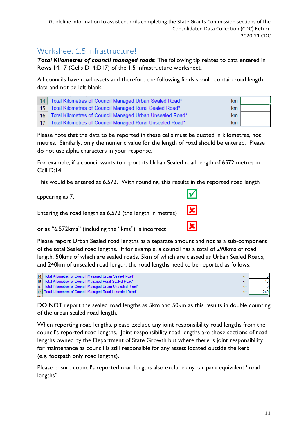# <span id="page-10-0"></span>Worksheet 1.5 Infrastructure!

*Total Kilometres of council managed roads*: The following tip relates to data entered in Rows 14:17 (Cells D14:D17) of the 1.5 Infrastructure worksheet.

All councils have road assets and therefore the following fields should contain road length data and not be left blank.

| 14   Total Kilometres of Council Managed Urban Sealed Road*   | km  |  |
|---------------------------------------------------------------|-----|--|
| 15   Total Kilometres of Council Managed Rural Sealed Road*   | km. |  |
| 16   Total Kilometres of Council Managed Urban Unsealed Road* | km. |  |
| 17   Total Kilometres of Council Managed Rural Unsealed Road* | km. |  |

Please note that the data to be reported in these cells must be quoted in kilometres, not metres. Similarly, only the numeric value for the length of road should be entered. Please do not use alpha characters in your response.

For example, if a council wants to report its Urban Sealed road length of 6572 metres in Cell D:14:

This would be entered as 6.572. With rounding, this results in the reported road length

appearing as 7.

Entering the road length as 6,572 (the length in metres)

or as "6.572kms" (including the "kms") is incorrect

Please report Urban Sealed road lengths as a separate amount and not as a sub-component of the total Sealed road lengths. If for example, a council has a total of 290kms of road length, 50kms of which are sealed roads, 5km of which are classed as Urban Sealed Roads, and 240km of unsealed road length, the road lengths need to be reported as follows:

| 14   Total Kilometres of Council Managed Urban Sealed Road*<br>km   |      |
|---------------------------------------------------------------------|------|
| 15   Total Kilometres of Council Managed Rural Sealed Road*<br>km   | 45   |
| 16   Total Kilometres of Council Managed Urban Unsealed Road*<br>km |      |
| 17 Total Kilometres of Council Managed Rural Unsealed Road*<br>km   | 2401 |

DO NOT report the sealed road lengths as 5km and 50km as this results in double counting of the urban sealed road length.

When reporting road lengths, please exclude any joint responsibility road lengths from the council's reported road lengths. Joint responsibility road lengths are those sections of road lengths owned by the Department of State Growth but where there is joint responsibility for maintenance as council is still responsible for any assets located outside the kerb (e.g. footpath only road lengths).

Please ensure council's reported road lengths also exclude any car park equivalent "road lengths".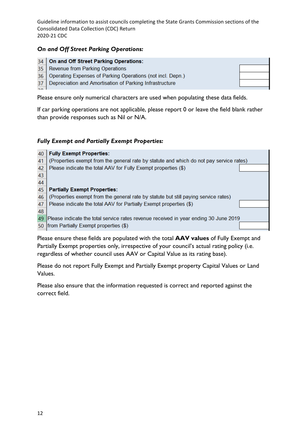### *On and Off Street Parking Operations:*

#### On and Off Street Parking Operations:  $34$

- Revenue from Parking Operations 35
- 36 Operating Expenses of Parking Operations (not incl. Depn.)
- Depreciation and Amortisation of Parking Infrastructure 37

Please ensure only numerical characters are used when populating these data fields.

If car parking operations are not applicable, please report 0 or leave the field blank rather than provide responses such as Nil or N/A.

### *Fully Exempt and Partially Exempt Properties:*

| <b>Fully Exempt Properties:</b>                                                         |
|-----------------------------------------------------------------------------------------|
| (Properties exempt from the general rate by statute and which do not pay service rates) |
| Please indicate the total AAV for Fully Exempt properties (\$)                          |
|                                                                                         |
|                                                                                         |
| <b>Partially Exempt Properties:</b>                                                     |
| (Properties exempt from the general rate by statute but still paying service rates)     |
| Please indicate the total AAV for Partially Exempt properties (\$)                      |
|                                                                                         |
| Please indicate the total service rates revenue received in year ending 30 June 2019    |
| from Partially Exempt properties (\$)                                                   |
|                                                                                         |

Please ensure these fields are populated with the total **AAV values** of Fully Exempt and Partially Exempt properties only, irrespective of your council's actual rating policy (i.e. regardless of whether council uses AAV or Capital Value as its rating base).

Please do not report Fully Exempt and Partially Exempt property Capital Values or Land Values.

Please also ensure that the information requested is correct and reported against the correct field.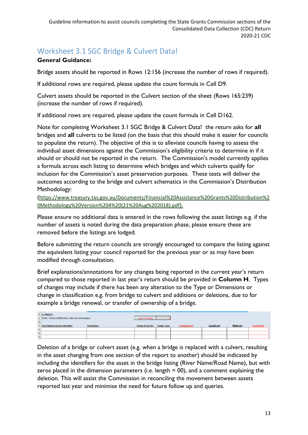# <span id="page-12-0"></span>Worksheet 3.1 SGC Bridge & Culvert Data!

## **General Guidance:**

Bridge assets should be reported in Rows 12:156 (increase the number of rows if required).

If additional rows are required, please update the count formula in Cell D9.

Culvert assets should be reported in the Culvert section of the sheet (Rows 165:239) (increase the number of rows if required).

If additional rows are required, please update the count formula in Cell D162.

Note for completing Worksheet 3.1 SGC Bridge & Culvert Data! the return asks for **all** bridges and **all** culverts to be listed (on the basis that this should make it easier for councils to populate the return). The objective of this is to alleviate councils having to assess the individual asset dimensions against the Commission's eligibility criteria to determine in if it should or should not be reported in the return. The Commission's model currently applies a formula across each listing to determine which bridges and which culverts qualify for inclusion for the Commission's asset preservation purposes. These tests will deliver the outcomes according to the bridge and culvert schematics in the Commission's Distribution Methodology:

([https://www.treasury.tas.gov.au/Documents/Financial%20Assistance%20Grants%20Distribution%2](https://www.treasury.tas.gov.au/Documents/Financial%20Assistance%20Grants%20Distribution%20Methodology%20Version%204%20(21%20Aug%202018).pdf) [0Methodology%20Version%204%20\(21%20Aug%202018\).pdf](https://www.treasury.tas.gov.au/Documents/Financial%20Assistance%20Grants%20Distribution%20Methodology%20Version%204%20(21%20Aug%202018).pdf)).

Please ensure no additional data is entered in the rows following the asset listings e.g. if the number of assets is noted during the data preparation phase, please ensure these are removed before the listings are lodged.

Before submitting the return councils are strongly encouraged to compare the listing against the equivalent listing your council reported for the previous year or as may have been modified through consultation.

Brief explanations/annotations for any changes being reported in the current year's return compared to those reported in last year's return should be provided in **Column H**. Types of changes may include if there has been any alteration to the Type or Dimensions or change in classification e.g. from bridge to culvert and additions or deletions, due to for example a bridge renewal, or transfer of ownership of a bridge.

|                  |                                             |                  | ----                    |                    |               |              |           |                 |
|------------------|---------------------------------------------|------------------|-------------------------|--------------------|---------------|--------------|-----------|-----------------|
|                  | 8 A. BRIDGES                                |                  |                         |                    |               |              |           |                 |
|                  | 9 Note: Insert Additional rows as necessary |                  | <b>Count of Bridges</b> |                    |               |              |           |                 |
| 10 <sub>10</sub> |                                             |                  |                         |                    |               |              |           |                 |
|                  | 11 River Name/Location Identifier           | <b>Road Name</b> | Bridge/Asset No.        | <b>Bridge Type</b> | Configuration | Length $(m)$ | Width (m) | <b>Comments</b> |
| 12 <sup>1</sup>  |                                             |                  |                         |                    |               |              |           |                 |
| 13 <sup>°</sup>  |                                             |                  |                         |                    |               |              |           |                 |
| 14 <sup>°</sup>  |                                             |                  |                         |                    |               |              |           |                 |
|                  |                                             |                  |                         |                    |               |              |           |                 |

Deletion of a bridge or culvert asset (e.g. when a bridge is replaced with a culvert, resulting in the asset changing from one section of the report to another) should be indicated by including the identifiers for the asset in the bridge listing (River Name/Road Name), but with zeros placed in the dimension parameters (i.e. length  $= 00$ ), and a comment explaining the deletion. This will assist the Commission in reconciling the movement between assets reported last year and minimise the need for future follow up and queries.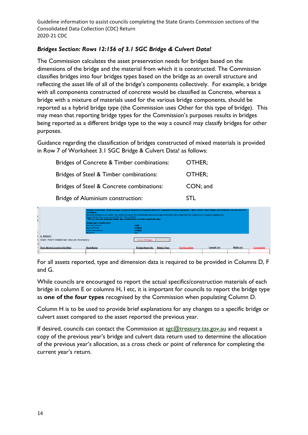## *Bridges Section: Rows 12:156 of 3.1 SGC Bridge & Culvert Data!*

The Commission calculates the asset preservation needs for bridges based on the dimensions of the bridge and the material from which it is constructed. The Commission classifies bridges into four bridges types based on the bridge as an overall structure and reflecting the asset life of all of the bridge's components collectively. For example, a bridge with all components constructed of concrete would be classified as Concrete, whereas a bridge with a mixture of materials used for the various bridge components, should be reported as a hybrid bridge type (the Commission uses Other for this type of bridge). This may mean that reporting bridge types for the Commission's purposes results in bridges being reported as a different bridge type to the way a council may classify bridges for other purposes.

Guidance regarding the classification of bridges constructed of mixed materials is provided in Row 7 of Worksheet 3.1 SGC Bridge & Culvert Data! as follows:

| Bridges of Concrete & Timber combinations: | OTHER:   |
|--------------------------------------------|----------|
| Bridges of Steel & Timber combinations:    | OTHER:   |
| Bridges of Steel & Concrete combinations:  | CON; and |
| Bridge of Aluminium construction:          | STI.     |

| $\overline{\mathbf{f}}$<br>6. |                                             | Vehicle, pedestrian, stock passage, as part of council road network which are suspended between abutments. Note Jetties, Boat Ramps and Pontoons are not classed<br>as bridges.<br>Please list all bridges in this section. The Commission will test the reported dimensions of all bridges to determine which bridges meet the Commission's recognition eligibility tests.<br>Selected Bridge Tunes must be either CON STI TIM or OTHER<br>"Please note the following bridge type combinations and their applicable type:<br><b>Bridge type combinations</b><br><b>Steel and Concrete</b><br><b>CON</b><br><b>Steel and Timber</b><br><b>OTHER</b><br><b>Timber and Concrete</b><br><b>OTHER</b> |                         |                    |                      |              |             |                 |
|-------------------------------|---------------------------------------------|---------------------------------------------------------------------------------------------------------------------------------------------------------------------------------------------------------------------------------------------------------------------------------------------------------------------------------------------------------------------------------------------------------------------------------------------------------------------------------------------------------------------------------------------------------------------------------------------------------------------------------------------------------------------------------------------------|-------------------------|--------------------|----------------------|--------------|-------------|-----------------|
|                               | <b>8 A. BRIDGES</b>                         | Aluminium                                                                                                                                                                                                                                                                                                                                                                                                                                                                                                                                                                                                                                                                                         | <b>STL</b>              |                    |                      |              |             |                 |
|                               | 9 Note: Insert Additional rows as necessary |                                                                                                                                                                                                                                                                                                                                                                                                                                                                                                                                                                                                                                                                                                   | <b>Count of Bridges</b> |                    |                      |              |             |                 |
| $\mathbf{0}$                  |                                             |                                                                                                                                                                                                                                                                                                                                                                                                                                                                                                                                                                                                                                                                                                   |                         |                    |                      |              |             |                 |
|                               | <b>River Name/Location Identifier</b>       | <b>Road Name</b>                                                                                                                                                                                                                                                                                                                                                                                                                                                                                                                                                                                                                                                                                  | Bridge/Asset No.        | <b>Bridge Type</b> | <b>Configuration</b> | Length $(m)$ | Width $(m)$ | <b>Comments</b> |
|                               |                                             |                                                                                                                                                                                                                                                                                                                                                                                                                                                                                                                                                                                                                                                                                                   |                         |                    |                      |              |             |                 |

For all assets reported, type and dimension data is required to be provided in Columns D, F and G.

While councils are encouraged to report the actual specifics/construction materials of each bridge in column E or columns H, I etc, it is important for councils to report the bridge type as **one of the four types** recognised by the Commission when populating Column D.

Column H is to be used to provide brief explanations for any changes to a specific bridge or culvert asset compared to the asset reported the previous year.

If desired, councils can contact the Commission at  $sgc@t$ reasury.tas.gov.au and request a copy of the previous year's bridge and culvert data return used to determine the allocation of the previous year's allocation, as a cross check or point of reference for completing the current year's return.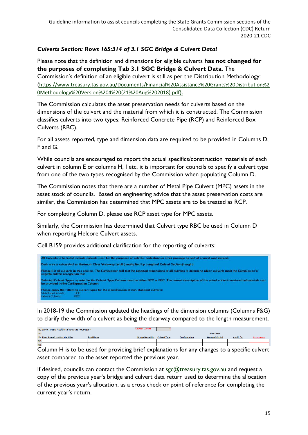## *Culverts Section: Rows 165:314 of 3.1 SGC Bridge & Culvert Data!*

Please note that the definition and dimensions for eligible culverts **has not changed for the purposes of completing Tab 3.1 SGC Bridge & Culvert Data**. The Commission's definition of an eligible culvert is still as per the Distribution Methodology: ([https://www.treasury.tas.gov.au/Documents/Financial%20Assistance%20Grants%20Distribution%2](https://www.treasury.tas.gov.au/Documents/Financial%20Assistance%20Grants%20Distribution%20Methodology%20Version%204%20(21%20Aug%202018).pdf) [0Methodology%20Version%204%20\(21%20Aug%202018\).pdf](https://www.treasury.tas.gov.au/Documents/Financial%20Assistance%20Grants%20Distribution%20Methodology%20Version%204%20(21%20Aug%202018).pdf)).

The Commission calculates the asset preservation needs for culverts based on the dimensions of the culvert and the material from which it is constructed. The Commission classifies culverts into two types: Reinforced Concrete Pipe (RCP) and Reinforced Box Culverts (RBC).

For all assets reported, type and dimension data are required to be provided in Columns D, F and G.

While councils are encouraged to report the actual specifics/construction materials of each culvert in column E or columns H, I etc, it is important for councils to specify a culvert type from one of the two types recognised by the Commission when populating Column D.

The Commission notes that there are a number of Metal Pipe Culvert (MPC) assets in the asset stock of councils. Based on engineering advice that the asset preservation costs are similar, the Commission has determined that MPC assets are to be treated as RCP.

For completing Column D, please use RCP asset type for MPC assets.

Similarly, the Commission has determined that Culvert type RBC be used in Column D when reporting Helcore Culvert assets.

Cell B159 provides additional clarification for the reporting of culverts:



In 2018-19 the Commission updated the headings of the dimension columns (Columns F&G) to clarify the width of a culvert as being the clearway compared to the length measurement.



Column H is to be used for providing brief explanations for any changes to a specific culvert asset compared to the asset reported the previous year.

If desired, councils can contact the Commission at  $\text{sgc@t}$  reasury.tas.gov.au and request a copy of the previous year's bridge and culvert data return used to determine the allocation of the previous year's allocation, as a cross check or point of reference for completing the current year's return.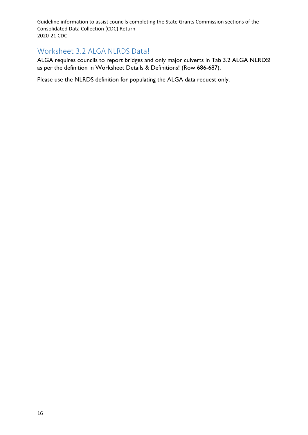# <span id="page-15-0"></span>Worksheet 3.2 ALGA NLRDS Data!

ALGA requires councils to report bridges and only major culverts in Tab 3.2 ALGA NLRDS! as per the definition in Worksheet Details & Definitions! (Row 686-687).

Please use the NLRDS definition for populating the ALGA data request only.